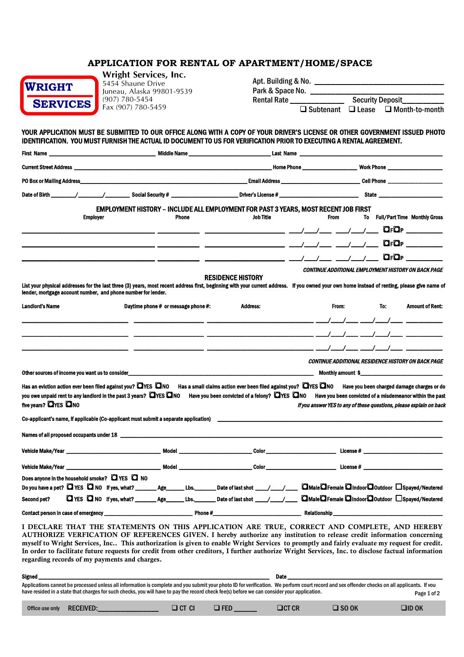# **APPLICATION FOR RENTAL OF APARTMENT/HOME/SPACE**

| <b>WRIGHT</b>   |
|-----------------|
| <b>SERVICES</b> |

**Wright Services, Inc.** 5454 Shaune Drive Juneau, Alaska 99801-9539 (907) 780-5454 Fax (907) 780-5459

| Apt. Building & No. |  |                                                     |
|---------------------|--|-----------------------------------------------------|
| Park & Space No.    |  |                                                     |
| Rental Rate         |  | Security Deposit                                    |
|                     |  | $\Box$ Subtenant $\Box$ Lease $\Box$ Month-to-month |

## YOUR APPLICATION MUST BE SUBMITTED TO OUR OFFICE ALONG WITH A COPY OF YOUR DRIVER'S LICENSE OR OTHER GOVERNMENT ISSUED PHOTO IDENTIFICATION. YOU MUST FURNISH THE ACTUAL ID DOCUMENT TO US FOR VERIFICATION PRIOR TO EXECUTING A RENTAL AGREEMENT.

| First Name                  |                                                          | <b>Middle Name</b>                                                                                                                                                                                                                                                                                                             |                                                                                                                                                                                |                                                                                                                         | Last Name                                                           |             |     |                                                                                                                                                                                                                                                                                                                     |
|-----------------------------|----------------------------------------------------------|--------------------------------------------------------------------------------------------------------------------------------------------------------------------------------------------------------------------------------------------------------------------------------------------------------------------------------|--------------------------------------------------------------------------------------------------------------------------------------------------------------------------------|-------------------------------------------------------------------------------------------------------------------------|---------------------------------------------------------------------|-------------|-----|---------------------------------------------------------------------------------------------------------------------------------------------------------------------------------------------------------------------------------------------------------------------------------------------------------------------|
|                             |                                                          | <b>Current Street Address and Street Address and Street Address and Street Address and Street Address and Street Address and Street Address and Street Address and Street Address and Street Address and Street Address and Stre</b>                                                                                           |                                                                                                                                                                                |                                                                                                                         |                                                                     |             |     |                                                                                                                                                                                                                                                                                                                     |
|                             |                                                          |                                                                                                                                                                                                                                                                                                                                |                                                                                                                                                                                |                                                                                                                         |                                                                     |             |     |                                                                                                                                                                                                                                                                                                                     |
|                             |                                                          |                                                                                                                                                                                                                                                                                                                                |                                                                                                                                                                                |                                                                                                                         |                                                                     |             |     |                                                                                                                                                                                                                                                                                                                     |
|                             | <b>Employer</b>                                          | <b>EMPLOYMENT HISTORY - INCLUDE ALL EMPLOYMENT FOR PAST 3 YEARS, MOST RECENT JOB FIRST</b><br><b>Phone</b>                                                                                                                                                                                                                     |                                                                                                                                                                                | <b>Job Title</b>                                                                                                        | $\frac{1}{2}$ and $\frac{1}{2}$ and $\frac{1}{2}$ and $\frac{1}{2}$ | <b>From</b> |     | To Full/Part Time Monthly Gross<br>$Q_FQ_F$                                                                                                                                                                                                                                                                         |
|                             |                                                          |                                                                                                                                                                                                                                                                                                                                |                                                                                                                                                                                |                                                                                                                         |                                                                     |             |     | $\mathbf{Q}_{\mathrm{F}}\mathbf{Q}_{\mathrm{P}}$ and $\mathbf{Q}_{\mathrm{F}}$                                                                                                                                                                                                                                      |
|                             |                                                          |                                                                                                                                                                                                                                                                                                                                |                                                                                                                                                                                |                                                                                                                         |                                                                     |             |     | $\mathbf{Q}_{\mathrm{F}}\mathbf{Q}_{\mathrm{P}}$ , where $\mathbf{Q}_{\mathrm{F}}$                                                                                                                                                                                                                                  |
|                             |                                                          | List your physical addresses for the last three (3) years, most recent address first, beginning with your current address. If you owned your own home instead of renting, please give name of<br>lender, mortgage account number, and phone number for lender.                                                                 |                                                                                                                                                                                | <b>RESIDENCE HISTORY</b>                                                                                                |                                                                     |             |     | CONTINUE ADDITIONAL EMPLOYMENT HISTORY ON BACK PAGE                                                                                                                                                                                                                                                                 |
| <b>Landlord's Name</b>      |                                                          | Daytime phone # or message phone #:                                                                                                                                                                                                                                                                                            |                                                                                                                                                                                | <b>Address:</b>                                                                                                         |                                                                     | From:       | To: | <b>Amount of Rent:</b>                                                                                                                                                                                                                                                                                              |
|                             |                                                          |                                                                                                                                                                                                                                                                                                                                |                                                                                                                                                                                |                                                                                                                         |                                                                     |             |     | $\frac{1}{2}$ $\frac{1}{2}$ $\frac{1}{2}$ $\frac{1}{2}$ $\frac{1}{2}$ $\frac{1}{2}$ $\frac{1}{2}$ $\frac{1}{2}$ $\frac{1}{2}$ $\frac{1}{2}$ $\frac{1}{2}$ $\frac{1}{2}$ $\frac{1}{2}$ $\frac{1}{2}$ $\frac{1}{2}$ $\frac{1}{2}$ $\frac{1}{2}$ $\frac{1}{2}$ $\frac{1}{2}$ $\frac{1}{2}$ $\frac{1}{2}$ $\frac{1}{2}$ |
|                             |                                                          |                                                                                                                                                                                                                                                                                                                                |                                                                                                                                                                                |                                                                                                                         |                                                                     |             |     |                                                                                                                                                                                                                                                                                                                     |
|                             |                                                          |                                                                                                                                                                                                                                                                                                                                |                                                                                                                                                                                |                                                                                                                         |                                                                     |             |     |                                                                                                                                                                                                                                                                                                                     |
|                             |                                                          |                                                                                                                                                                                                                                                                                                                                |                                                                                                                                                                                |                                                                                                                         |                                                                     |             |     | CONTINUE ADDITIONAL RESIDENCE HISTORY ON BACK PAGE                                                                                                                                                                                                                                                                  |
|                             |                                                          |                                                                                                                                                                                                                                                                                                                                |                                                                                                                                                                                |                                                                                                                         |                                                                     |             |     | Monthly amount \$                                                                                                                                                                                                                                                                                                   |
| five years? <b>OYES</b> ONO |                                                          | Has an eviction action ever been filed against you? QYES QNO<br>you owe unpaid rent to any landlord in the past 3 years? $\Box$ YES $\Box$ NO                                                                                                                                                                                  |                                                                                                                                                                                | Has a small claims action ever been filed against you? OYES ONO<br>Have you been convicted of a felony? <b>QYES</b> ONO |                                                                     |             |     | Have you been charged damage charges or do<br>Have you been convicted of a misdemeanor within the past<br>If you answer YES to any of these questions, please explain on back                                                                                                                                       |
|                             |                                                          |                                                                                                                                                                                                                                                                                                                                |                                                                                                                                                                                |                                                                                                                         |                                                                     |             |     |                                                                                                                                                                                                                                                                                                                     |
|                             |                                                          |                                                                                                                                                                                                                                                                                                                                | Model <b>Model Model Model Model Model Model Model Model Model Model Model Model Model Model Model Model Model Model Model Model Model Model Model Model Model Model Model</b> | <b>Color____________________________</b>                                                                                |                                                                     |             |     | License #                                                                                                                                                                                                                                                                                                           |
|                             |                                                          |                                                                                                                                                                                                                                                                                                                                |                                                                                                                                                                                | <b>Color</b>                                                                                                            |                                                                     |             |     |                                                                                                                                                                                                                                                                                                                     |
| Second pet?                 | Does anyone in the household smoke? $\Box$ YES $\Box$ NO | Do you have a pet? O YES O NO ff yes, what? _______Age _______ Lbs. ________Date of last shot ____/_____/ ______ OMaleOFemale O Indoor O Outdoor $\Box$ Spayed/Neutered<br>□ YES □ NO Hyes, what? _________ Age _______ Lbs. __________ Date of last shot ____/____/ _____ □Male □ remale □ Indoor □ Outdoor □ Spayed/Neutered |                                                                                                                                                                                |                                                                                                                         |                                                                     |             |     |                                                                                                                                                                                                                                                                                                                     |
|                             | Contact person in case of emergency ___                  |                                                                                                                                                                                                                                                                                                                                | Phone #                                                                                                                                                                        |                                                                                                                         | <b>Relationship</b>                                                 |             |     |                                                                                                                                                                                                                                                                                                                     |

**I DECLARE THAT THE STATEMENTS ON THIS APPLICATION ARE TRUE, CORRECT AND COMPLETE, AND HEREBY AUTHORIZE VERFICATION OF REFERENCES GIVEN. I hereby authorize any institution to release credit information concerning myself to Wright Services, Inc.. This authorization is given to enable Wright Services to promptly and fairly evaluate my request for credit. In order to facilitate future requests for credit from other creditors, I further authorize Wright Services, Inc. to disclose factual information regarding records of my payments and charges.**

| Signed                                                                                                                                                                                                                                                                                                                                      | Date        |  |
|---------------------------------------------------------------------------------------------------------------------------------------------------------------------------------------------------------------------------------------------------------------------------------------------------------------------------------------------|-------------|--|
| Applications cannot be processed unless all information is complete and you submit your photo ID for verification. We perform court record and sex offender checks on all applicants. If you<br>have resided in a state that charges for such checks, you will have to pay the record check fee(s) before we can consider your application. | Page 1 of 2 |  |
|                                                                                                                                                                                                                                                                                                                                             |             |  |

| Office use only | <b>RECEIVED:</b> | $\sqsupset$ CT-CI | $\Box$ FED | $\Box$ CT CR | SO OK ב | <b>OID OK</b> |
|-----------------|------------------|-------------------|------------|--------------|---------|---------------|
|-----------------|------------------|-------------------|------------|--------------|---------|---------------|